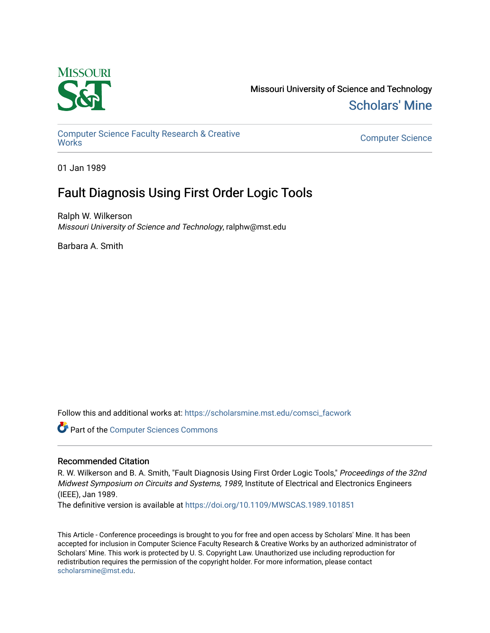

Missouri University of Science and Technology [Scholars' Mine](https://scholarsmine.mst.edu/) 

[Computer Science Faculty Research & Creative](https://scholarsmine.mst.edu/comsci_facwork) 

**Computer Science** 

01 Jan 1989

# Fault Diagnosis Using First Order Logic Tools

Ralph W. Wilkerson Missouri University of Science and Technology, ralphw@mst.edu

Barbara A. Smith

Follow this and additional works at: [https://scholarsmine.mst.edu/comsci\\_facwork](https://scholarsmine.mst.edu/comsci_facwork?utm_source=scholarsmine.mst.edu%2Fcomsci_facwork%2F192&utm_medium=PDF&utm_campaign=PDFCoverPages) 

Part of the [Computer Sciences Commons](http://network.bepress.com/hgg/discipline/142?utm_source=scholarsmine.mst.edu%2Fcomsci_facwork%2F192&utm_medium=PDF&utm_campaign=PDFCoverPages)

# Recommended Citation

R. W. Wilkerson and B. A. Smith, "Fault Diagnosis Using First Order Logic Tools," Proceedings of the 32nd Midwest Symposium on Circuits and Systems, 1989, Institute of Electrical and Electronics Engineers (IEEE), Jan 1989.

The definitive version is available at <https://doi.org/10.1109/MWSCAS.1989.101851>

This Article - Conference proceedings is brought to you for free and open access by Scholars' Mine. It has been accepted for inclusion in Computer Science Faculty Research & Creative Works by an authorized administrator of Scholars' Mine. This work is protected by U. S. Copyright Law. Unauthorized use including reproduction for redistribution requires the permission of the copyright holder. For more information, please contact [scholarsmine@mst.edu.](mailto:scholarsmine@mst.edu)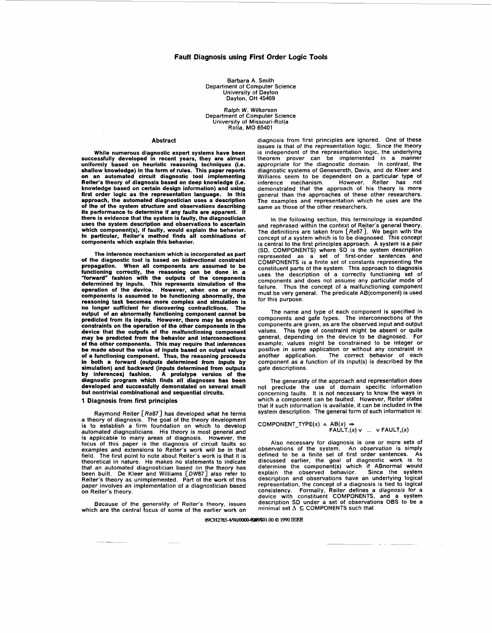Barbara A. Smith Department of Computer Science University of Dayton Dayton, OH 45469

Ralph W. Wilkerson Department of Computer Science University of Missouri-Rol!a Rolla, MO 65401

### Abstract

While numerous diagnostic expert systems have been successfully developed in recent years, they are almost uniformly based on heuristic reasoning techniques (i.e. shallow knowledge) in the form of rules. This paper reports on an automated circuit diagnostic tool implementing Reiter's theory of diagnosis based on deep knowledge (i.e. knowledge based on certain design information) and using first order logic as the representation language. In this approach, the automated diagnostician uses a description of the of the system structure and observations describing its performance to determine if any faults are apparent. If there is evidence that the system is faulty, the diagnostician uses the system description and observations to ascertain which component(s), if faulty, would explain the behavior. In particular, Reiter's method finds all combinations of components which explain this behavior.

The inference mechanism which is incorporated as part of the diagnostic tool is based on bidirectional constraint propagation. When all components are assumed to be functioning correctly, the reasoning can be done in a<br>"forward" fashion with the outputs of the components<br>determined by inputs. This represents simulation of the<br>operation of the device. However, when one or more components is assumed to be functioning abnormally, the reasoning task becomes more complex and simulation is no longer sufficient for discovering contradictions. The output of an abnormally functioning component cannot be predicted from its inputs. However, there may be enough constraints on the operation of the other components in the device that the outputs of the malfunctioning component may be predicted from the behavior and interconnections of the other components. This may require that inferences be made about the value of inputs based on output values of a functioning component. Thus, the reasoning proceeds in both a forward (outputs determined from inputs by simulation) and backward (inputs determined from outputs by inferences) fashion. A prototype version of the diagnostic program which finds all diagnoses has been developed and successfully demonstated on several small but nontrivial combinational and sequential circuits.

### **1 Diagnosis from first principles**

Raymond Reiter [Re87] has developed what he terms a theory of diagnosis. The goal of the theory development is to establish a firm foundation on which to develop automated diagnosticians. His theory is most general and is applicable to many areas of diagnosis. However, the focus of this paper is the diagnosis of circuit faults so examples and extensions to Reiter's work will be in that field. The first point to note about Reiter's work is that it is theoretical in nature. He makes no statements to indicate that an automated diagnostician based on the theory has been built. De Kleer and Williams [OW87] also refer to Reiter's theory as unimplemented. Part of the work of this paper involves an implementation of a diagnostician based on Reiter's theory.

Because of the generality of Reiter's theory, issues which are the central focus of some of the earlier work on

diagnosis from first principles are ignored. One of these issues is that of the representation logic. Since the theory is independent of the representation logic, the underlying theorem prover can be implemented in a manner appropriate for the diagnostic domain. In contrast, the diagnostic systems of Genesereth, Davis, and de Kleer and Williams seem to be dependent on a particular type of inference mechanism. However, Reiter has not demonstrated that the approach of his theory is more general than the approaches of these other researchers. The examples and representation which he uses are the same as those of the other researchers.

In the following section, this terminology is expanded and rephrased within the context of Reiter's general theory. The definitions are taken from [Re87]. We begin with the concept of a system which is to be diagnosed. This concept is central to the first principles approach. A system is a pair (SD, COMPONENTS) where SD is the system description represented as a set of first-order sentences and COMPONENTS is a finite set of constants representing the constituent parts of the system. This approach to diagnosis uses the description of a correctly functioning set of components and does not assume any particular mode of failure. Thus the concept of a malfunctioning component must be very general. The predicate AB(component) is used for this purpose.

The name and type of each component is specified in components and gafe types. The interconnections of the components are given, as are the observed input and output values. This type of constraint might be absent or quite general, depending on the device to be diagnosed. For example, values might be constrained to be integer or positive in some application or without any constraint in The correct behavior of each component as a function of its input(s) is described by the gate descriptions.

The generality of the approach and representation does not preclude the use of domain specific information concerning faults. **It** is not necessary to know the ways in which a component can be faulted. However, Reiter states that if such information is available, it can be included in the system description. The general form **of** such information is:

$$
COMPONENT_TYPE(x) \land AB(x) \Rightarrow \qquad \qquad FAULT_1(x) \lor \dots \lor FAULT_n(x)
$$

Also necessary for diagnosis is one or more sets of observations of the system. An o*bservation* is simply<br>defined to be a finite set of first order sentences. As<br>discussed earlier, the goal of diagnostic work is to<br>determine the component(s) which if ABnormal would explain the observed behavior. Since the system description and observations have an underlying logical representation, the concept of a diagnosis is tied to logical consistency. Formally, Reiter defines a diagnosis for a device with constituent COMPONENTS, and a system description SD under a set of observations OBS to be a minimal set **A** *5* COMPONENTS such that

89CH2785-4/90/0000-0209\$01.00 @ 1990 IEEE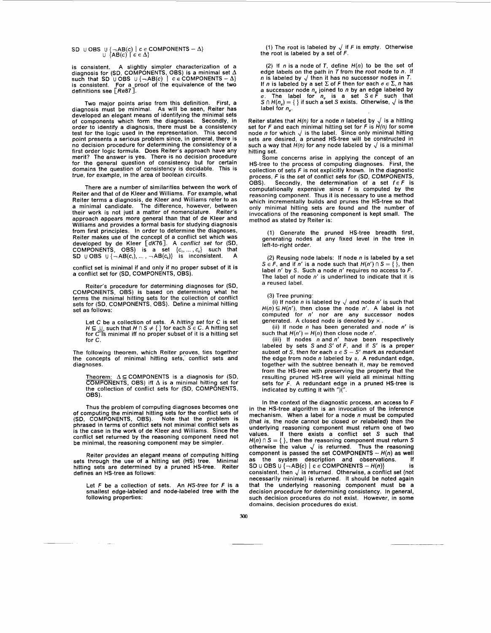$\begin{array}{ll} \textsf{SD} \ \cup \ \textsf{OBS} \ \cup \ \{\neg \textsf{AB}(c) \mid c \in \textsf{COMPONENTS} \ -\Delta \} \ \cup \ \{\textsf{AB}(c) \mid c \in \Delta \} \end{array}$ 

is consistent. A slightly simpler characterization of a<br>diagnosis for (SD, COMPONENTS, OBS) is a minimal set ∆<br>such that SD ∪ OBS ∪ {→AB(c) | *c ∈* COMPONENTS – ∆} is consistent. For a proof of the equivalence of the two definitions see [Re87].

Two major points arise from this definition. First, a diagnosis must be minimal. As will be seen, Reiter has developed an elegant means of identifying the minimal sets of components which form the diagnoses. Secondly, in order to identify a diagnosis, there must be a consistency test for the logic used in the representation. This second point presents a serious problem since, in general, there is no decision procedure for determining the consistency of a<br>first order logic formula. Does Reiter's approach have any<br>merit? The answer is yes. There is no decision procedure<br>for the general question of consistency but for domains the question of consistency is decidable. This is true, for example, in the area of boolean circuits.

There are a number of similarities between the work of Reiter and that of de Kleer and Williams. For example, what Reiter terms a diagnosis, de Kleer and Williams refer to as a minimal candidate. The difference, however, between their work is not just a matter of nomenclature. Reiter's approach appears more general than that of de Kleer and Williams and provides a formal basis for studying diagnosis from first principles. In order to determine the diagnoses, Reiter makes use of the concept of a conflict set which was developed by de Kleer [*dK*76<sub>.</sub>]. A co*nflict set* for (SD,<br>COMPONENTS, OBS) is a set {c,,...,c<sub>x</sub>} such that SD  $\cup$  OBS  $\cup$   $\{\neg \mathsf{AB}(c_{1}), \dots, \neg \mathsf{AB}(c_{k})\}$  is inconsistent. A

conflict set is minimal if and only if no proper subset of it is a conflict set for (SD, COMPONENTS, 06s).

Reiter's procedure for determining diagnoses for (SD, COMPONENTS, OBS) is based on determining what he terms the minimal hitting sets for the collection of conflict sets for (SD, COMPONENTS, OBS). Define a minimal hitting set as follows:

Let *C* be a collection of sets. A *hitting set* for *C* is set<br>H ⊆ U such that *H* ∩ S ≠ { } for each *S* ∈ C. A hitting set<br>for *C* is minimal iff no proper subset of it is a hitting set for C.

The following theorem, which Reiter proves, ties together the concepts of minimal hitting sets, conflict sets and diagnoses.

Theorem: ∆⊆COMPONENTS is a diagnosis for (SD,<br>COMPONENTS, OBS) iff ∆ is a minimal hitting set for<br>the collection of conflict sets for (SD, COMPONENTS,<br>OBS).

Thus the problem of computing diagnoses becomes one of computing the minimal hitting sets for the conflict sets of (SD, COMPONENTS, 06s). Note that the problem is phrased in terms of conflict sets not minimal conflict sets as is the case in the work of de Kleer and Williams. Since the conflict set returned by the reasoning component need not be minimal, the reasoning component may be simpler.

Reiter provides an elegant means of computing hitting sets through the use of a hitting set (HS) tree. Minimal hitting sets are determined by a pruned HS-tree. Reiter defines an HS-tree as follows:

Let F be a collection of sets. An HS-tree for *F* is a smallest edge-labeled and node-labeled tree with the following properties:

(1) The root is labeled by  $\sqrt{ }$  if F is empty. Otherwise the root is labeled by a set of  $F$ .

(2) If n is a node of *T,* define *H(n)* to be the set of edge labels on the path in  $T$  from the root node to  $n$ . If  $\overline{n}$  is labeled by  $\sqrt{n}$  then it has no successor nodes in *T*.<br>If n is labeled by a set  $\Sigma$  of *F* then for each  $\sigma \in \Sigma$ , *n* has a successor node *n<sub>o</sub>* joined to *n* by an edge labeled by  $\sigma$ . The label for *n<sub>o</sub>* is a set *S* ∈ *F* such that  $S \cap H(n_{\sigma}) = \{\}$  if such a set *S* exists. Otherwise,  $\sqrt{}$  is the label for *n*.

Reiter states that  $H(n)$  for a node n labeled by  $\sqrt{ }$  is a hitting set for *F* and each minimal hitting set for *F* is *H(n)* for some node n for which  $\sqrt{}$  is the label. Since only minimal hitting sets are desired, a pruned HS-tree will be constructed in such a way that  $H(n)$  for any node labeled by  $\sqrt{ }$  is a minimal hitting set.

Some concerns arise in applying the concept of an HS-tree to the process of computing diagnoses. First, the collection of sets F is not explicitly known. In the diagnostic<br>process, F is the set of conflict sets for (SD, COMPONENTS,<br>OBS). Secondly, the determination of a set f  $\epsilon$  F is<br>computationally expensive since f is compu reasoning component. Thus it is necessary to use a method which incrementally builds and prunes the HS-tree so that only minimal hitting sets are found and the number of invocations of the reasoning component is kept small. The method as stated by Reiter is:

(1) Generate the pruned HS-tree breadth first, generating nodes at any fixed level in the tree in left-to-right order.

(2) Reusing node labels: If node  $n$  is labeled by a set *S*  $\in$  *F*, and if *n'* is a node such that *H(n')*  $\cap$  *S* = { }, then label  $n'$  by S. Such a node  $n'$  requires no access to F. The label of node n' is underlined to indicate that it is a reused label.

(3) Tree pruning:

(i) If node n is labeled by  $\sqrt$  and node n' is such that  $H(n) \subseteq H(n')$ , then close the node n'. A label is not computed for n' nor are any successor nodes generated. A closed node is denoted by  $\times$ 

(ii) If node  $n$  has been generated and node  $n'$  is such that  $H(n') = H(n)$  then close node n'.

(iii) If nodes *n* and n' have been respectively labeled by sets S and S' of *F*, and if S' is a proper subset of S, then for each  $\alpha \in S - S'$  mark as redundant the edge from node *n* labeled by a. A redundant edge, together with the subtree beneath it, may be removed from the HS-tree with preserving the property that the resulting pruned HS-tree will yield all minimal hitting sets for *F.* A redundant edge in a pruned HS-tree is indicated by cutting it with " $\tilde{C}$ ".

In the context of the diagnostic process, an access to *F*  in the HS-tree algorithm is an invocation of the inference mechanism. When a label for a node  $n$  must be computed (that is, the node cannot be closed or relabeled) then the underlying reasoning component must return one of two values. If there exists a conflict set S such that If there exists a conflict set *S* such that  $H(n)$   $\cap$   $S = \{\}$ , then the reasoning component must return  $S$  otherwise the value  $\sqrt{\ }$  is returned. Thus the reasoning component is passed the set COMPONENTS - *H(n)* as well as the system description and observations. If<br>SD U OBS U {¬AB(c) | c **E** COMPONENTS - *H(n)*} is consistent, then  $\sqrt{ }$  is returned. Otherwise, a conflict set (not necessarily minimal) is returned. It should be noted again that the underlying reasoning component must be a decision procedure for determining consistency. In general, such decision procedures do not exist. However, in some domains, decision procedures do exist.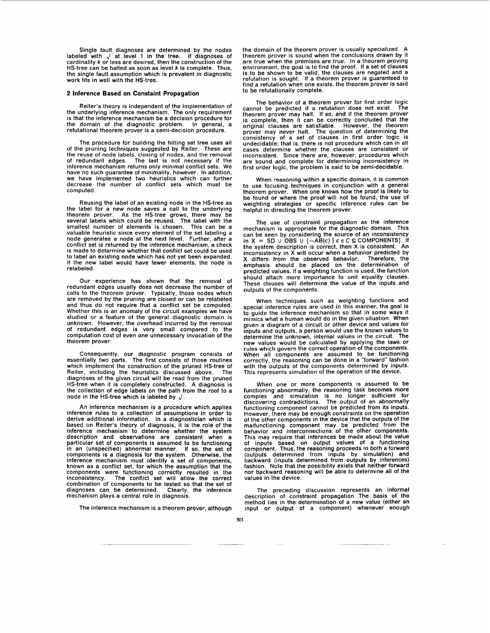Single fault diagnoses are determined by the nodes labeled with at level 1 in the tree. If diagnoses of cardinality *k* or less are desired, then the construction of the HS-tree can be halted as soon as level *k* is complete. Thus, the single fault assumption which is prevalent in diagnostic work fits in well with the HS-tree.

## **2 Inference Based on Constaint Propagation**

Reiter's theory is independent of the implementation of the underlying inference mechanism. The only requirement is that the inference mechanism be a decision procedure for the domain of the diagnostic problem. In general, a the domain of the diagnostic problem. refutational theorem prover is a semi-decision procedure.

The procedure for building the hitting set tree uses all of the pruning techniques suggested by Reiter. These are the reuse of node labels, closing of nodes, and the removal of redundant edges. The last is not necessary if the inference mechanism returns only minimal conflict sets. We have no such guarantee of minimality, however. In addition, we have implemented two heuristics which can further decrease the number of conflict sets which must be computed.

Reusing the label of an existing node in the HS-tree as the label for a new node saves a call to the underlying theorem prover. As the HS-tree grows, there may be several labels which could be reused. The label with the smallest number of elements is chosen. This can be a valuable heuristic since every element of the set labeling a node generates a node at the next level. Further, after a conflict set is returned by the inference mechanism, a check is made to determine whether that conflict set could be used to label an existing node which has not yet been expanded. If the new label would have fewer elements, the node is relabeled.

Our experience has shown that the removal of redundant edges usually does not decrease the number of calls to the theorem prover. Typically, those nodes which are removed by the pruning are closed or can be relabeled and thus do not require that a conflict set be computed. Whether this is an anomaly of the circuit examples we have studied or a feature of the general diagnostic domain is unknown. However, the overhead incurred by the removal of redundant edges is very small compared to the computation cost of even one unnecessary invocation of the theorem prover.

Consequently, our diagnostic program consists of essentially two parts. The first consists of those routines which implement the construction of the pruned HS-tree of Reiter, including the heuristics discussed above. The diagnoses of the given circuit will be read from the pruned HS-tree when it is completely constructed. A diagnosis is the collection of edge labels on the path from the root to a node in the HS-tree which is labeled by *4.* 

An inference mechanism is a procedure which applies inference rules to a collection of assumptions in order to derive additional information. In a diagnostician which is<br>based on Reiter's theory of diagnosis, it is the role of the<br>inference mechanism to determine whether the system<br>description and observations are consistent when a particular set of components is assumed to be functioning in an (unspecified) abnormal manner. If so, the set of components is a diagnosis for the system. Otherwise, the inference mechanism must identify a set of components, known as a conflict set, for which the assumption that the components were functioning correctly resulted in the inconsistency. The conflict set will allow the correct combination of components to be tested so that the set of diagnoses can be determined. Clearly, the inference mechanism plays a central role in diagnosis.

The inference mechanism is a theorem prover, although

the domain of the theorem prover is usually specialized. A theorem prover is sound when the conclusions drawn by it are true when the premises are true. In a theorem proving environment, the goal is to find the proof. If a set of clauses is to be shown to be valid, the clauses are negated and a refutation is sought. If a theorem prover is guaranteed to find a refutation when one exists, the theorem prover is said to be refutationally complete.

The behavior of a theorem prover for first order logic cannot be predicted if a refutation does not exist. The theorem prover may halt. If so, and if the theorem prover is complete, then it can be correctly concluded that the original clauses are satisfiable. However, the theorem prover may never halt. The question of determining the consistency of a set of clauses in first order logic is undecidable; that is, there is not procedure which can in all cases determine whether the clauses are consistent or inconsistent. Since there are, however, procedures which are sound and complete for determining inconsistency in first order logic, the problem is said to be semi-decidable.

When reasoning within a specific domain, it is common to use focusing techniques in conjunction with a general theorem prover. When one knows how the proof is likely to be found or where the proof will not be found, the use of weighting strategies or specific inference rules can be helpful in directing the theorem prover.

The use of constraint propagation as the inference mechanism is appropriate for the diagnostic domain. This can be seen by considering the source of an inconsistency in  $X = SD$  U  $\overline{O}$ BS U  $\{\neg \overline{AB}(c) \mid c \in C \subseteq \text{COMPONENTS}\}.$  If the system description is correct, then X is consistent. An inconsistency in X will occur when a behavior predicted by X differs from the observed behavior. Therefore, the emphasis should be placed on the determination of predicted values. If a weighting function is used, the function should attach more importance to unit equality clauses. These clauses will determine the value of the inputs and outputs of the components.

When techniques such as weighting functions and special inference rules are used in this manner, the goal is to guide the inference mechanism so that in some ways it mimics what a human would do in the given situation. When given a diagram of a circuit or other device and values for inputs and outputs, a person would use the known values to determine the unknown, internal values in the circuit. The new values would be calculated by applying the laws or rules which govern the correct operation of the components. When all components are assumed to be functioning<br>correctly, the reasoning can be done in a "forward" fashion<br>with the outputs of the components determined by inputs.<br>This represents simulation of the operation of the devi

When one or more components is assumed to be functioning abnormally, the reasoning task becomes more complex and simulation is no longer sufficient for discovering contradictions. The output of an abnormally discovering contradictions. The output of an abnormally<br>functioning component cannot be predicted from its inputs. However, there may be enough constraints on the operation of the other components in the device that the outputs of the malfunctioning component may be predicted from the behavior and interconnections of the other components. This may require that inferences be made about the value of inputs based on output values of a functioning component. Thus, the reasoning proceeds in both a forward (outputs determined from inputs by simulation) and backward (inputs determined from outputs by inferences) fashion. Note that the possibility exists that neither forward nor backward reasoning will be able to determine all of the values in the device.

The preceding discussion represents an informal description of constraint propagation The basis of the method lies in the determination of a new value (either an input or output of a component) whenever enough